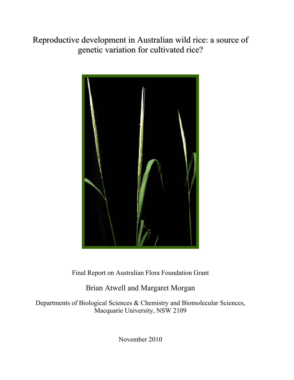Reproductive development in Australian wild rice: a source of genetic variation for cultivated rice?



Final Report on Australian Flora Foundation Grant

Brian Atwell and Margaret Morgan

Departments of Biological Sciences & Chemistry and Biomolecular Sciences, Macquarie University, NSW 2109

November 2010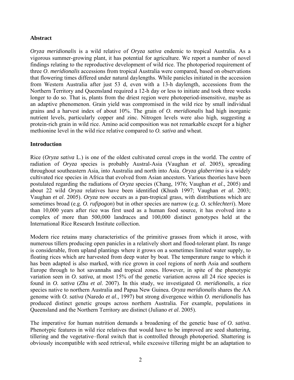## **Abstract**

*Oryza meridionalis* is a wild relative of *Oryza sativa* endemic to tropical Australia. As a vigorous summer-growing plant, it has potential for agriculture. We report a number of novel findings relating to the reproductive development of wild rice. The photoperiod requirement of three *O*. *meridionalis* accessions from tropical Australia were compared, based on observations that flowering times differed under natural daylengths. While panicles initiated in the accession from Western Australia after just 53 d, even with a 13-h daylength, accessions from the Northern Territory and Queensland required a 12-h day or less to initiate and took three weeks longer to do so. That is, plants from the driest region were photoperiod-insensitive, maybe as an adaptive phenomenon. Grain yield was compromised in the wild rice by small individual grains and a harvest index of about 10%. The grain of *O. meridionalis* had high inorganic nutrient levels, particularly copper and zinc. Nitrogen levels were also high, suggesting a protein-rich grain in wild rice. Amino acid composition was not remarkable except for a higher methionine level in the wild rice relative compared to *O. sativa* and wheat.

## **Introduction**

Rice (*Oryza sativa* L.) is one of the oldest cultivated cereal crops in the world. The centre of radiation of *Oryza* species is probably Austral-Asia (Vaughan *et al*. 2005), spreading throughout southeastern Asia, into Australia and north into Asia. *Oryza glaberrima* is a widely cultivated rice species in Africa that evolved from Asian ancestors. Various theories have been postulated regarding the radiations of *Oryza* species (Chang, 1976; Vaughan *et al*., 2005) and about 22 wild *Oryza* relatives have been identified (Khush 1997; Vaughan *et al*. 2003; Vaughan *et al*. 2005). *Oryza* now occurs as a pan-tropical grass, with distributions which are sometimes broad (e.g. *O. rufipogon*) but in other species are narrow (e.g. *O. schlechteri*). More than 10,000 years after rice was first used as a human food source, it has evolved into a complex of more than 500,000 landraces and 100,000 distinct genotypes held at the International Rice Research Institute collection.

Modern rice retains many characteristics of the primitive grasses from which it arose, with numerous tillers producing open panicles in a relatively short and flood-tolerant plant. Its range is considerable, from upland plantings where it grows on a sometimes limited water supply, to floating rices which are harvested from deep water by boat. The temperature range to which it has been adapted is also marked, with rice grown in cool regions of north Asia and southern Europe through to hot savannahs and tropical zones. However, in spite of the phenotypic variation seen in *O. sativa*, at most 15% of the genetic variation across all 24 rice species is found in *O. sativa* (Zhu *et al*. 2007). In this study, we investigated *O. meridionalis*, a rice species native to northern Australia and Papua New Guinea. *Oryza meridionalis* shares the AA genome with *O. sativa* (Naredo *et al*., 1997) but strong divergence within *O. meridionalis* has produced distinct genetic groups across northern Australia. For example, populations in Queensland and the Northern Territory are distinct (Juliano *et al*. 2005).

The imperative for human nutrition demands a broadening of the genetic base of *O. sativa*. Phenotypic features in wild rice relatives that would have to be improved are seed shattering, tillering and the vegetative–floral switch that is controlled through photoperiod. Shattering is obviously incompatible with seed retrieval, while excessive tillering might be an adaptation to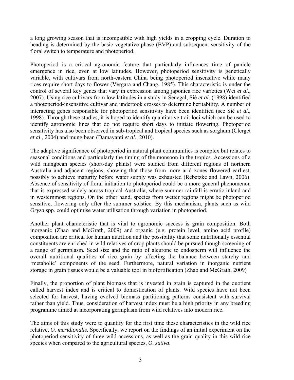a long growing season that is incompatible with high yields in a cropping cycle. Duration to heading is determined by the basic vegetative phase (BVP) and subsequent sensitivity of the floral switch to temperature and photoperiod.

Photoperiod is a critical agronomic feature that particularly influences time of panicle emergence in rice, even at low latitudes. However, photoperiod sensitivity is genetically variable, with cultivars from north-eastern China being photoperiod insensitive while many rices require short days to flower (Vergara and Chang, 1985). This characteristic is under the control of several key genes that vary in expression among japonica rice varieties (Wei *et al*., 2007). Using rice cultivars from low latitudes in a study in Senegal, Sié *et al*. (1998) identified a photoperiod-insensitive cultivar and undertook crosses to determine heritability. A number of interacting genes responsible for photoperiod sensitivity have been identified (see Sié *et al*., 1998). Through these studies, it is hoped to identify quantitative trait loci which can be used to identify agronomic lines that do not require short days to initiate flowering. Photoperiod sensitivity has also been observed in sub-tropical and tropical species such as sorghum (Clerget *et al*., 2004) and mung bean (Damayanti *et al*., 2010).

The adaptive significance of photoperiod in natural plant communities is complex but relates to seasonal conditions and particularly the timing of the monsoon in the tropics. Accessions of a wild mungbean species (short-day plants) were studied from different regions of northern Australia and adjacent regions, showing that those from more arid zones flowered earliest, possibly to achieve maturity before water supply was exhausted (Rebetzke and Lawn, 2006). Absence of sensitivity of floral initiation to photoperiod could be a more general phenomenon that is expressed widely across tropical Australia, where summer rainfall is erratic inland and in westernmost regions. On the other hand, species from wetter regions might be photoperiod sensitive, flowering only after the summer solstice. By this mechanism, plants such as wild *Oryza* spp. could optimise water utilisation through variation in photoperiod.

Another plant characteristic that is vital to agronomic success is grain composition. Both inorganic (Zhao and McGrath, 2009) and organic (e.g. protein level, amino acid profile) composition are critical for human nutrition and the possibility that some nutritionally essential constituents are enriched in wild relatives of crop plants should be pursued though screening of a range of germplasm. Seed size and the ratio of aleurone to endosperm will influence the overall nutritional qualities of rice grain by affecting the balance between starchy and 'metabolic' components of the seed. Furthermore, natural variation in inorganic nutrient storage in grain tissues would be a valuable tool in biofortification (Zhao and McGrath, 2009)

Finally, the proportion of plant biomass that is invested in grain is captured in the quotient called harvest index and is critical to domestication of plants. Wild species have not been selected for harvest, having evolved biomass partitioning patterns consistent with survival rather than yield. Thus, consideration of harvest index must be a high priority in any breeding programme aimed at incorporating germplasm from wild relatives into modern rice.

The aims of this study were to quantify for the first time these characteristics in the wild rice relative, *O. meridionalis*. Specifically, we report on the findings of an initial experiment on the photoperiod sensitivity of three wild accessions, as well as the grain quality in this wild rice species when compared to the agricultural species, *O. sativa*.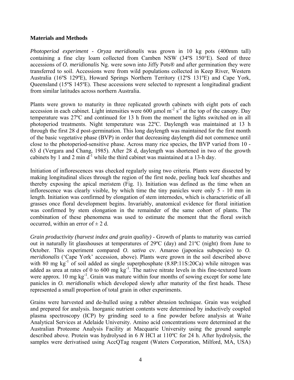## **Materials and Methods**

*Photoperiod experiment* - *Oryza meridionalis* was grown in 10 kg pots (400mm tall) containing a fine clay loam collected from Camben NSW (34ºS 150°E). Seed of three accessions of *O. meridionalis* Ng. were sown into Jiffy Pots® and after germination they were transferred to soil. Accessions were from wild populations collected in Keep River, Western Australia (16ºS 129ºE), Howard Springs Northern Territory (12ºS 131ºE) and Cape York, Queensland (15ºS 145ºE). These accessions were selected to represent a longitudinal gradient from similar latitudes across northern Australia.

Plants were grown to maturity in three replicated growth cabinets with eight pots of each accession in each cabinet. Light intensities were 600  $\mu$ mol m<sup>-2</sup> s<sup>-1</sup> at the top of the canopy. Day temperature was 27ºC and continued for 13 h from the moment the lights switched on in all photoperiod treatments. Night temperature was 22ºC. Daylength was maintained at 13 h through the first 28 d post-germination. This long daylength was maintained for the first month of the basic vegetative phase (BVP) in order that decreasing daylength did not commence until close to the photoperiod-sensitive phase. Across many rice species, the BVP varied from 10 - 63 d (Vergara and Chang, 1985). After 28 d, daylength was shortened in two of the growth cabinets by 1 and 2 min  $d^{-1}$  while the third cabinet was maintained at a 13-h day.

Initiation of inflorescences was checked regularly using two criteria. Plants were dissected by making longitudinal slices through the region of the first node, peeling back leaf sheathes and thereby exposing the apical meristem (Fig. 1). Initiation was defined as the time when an inflorescence was clearly visible, by which time the tiny panicles were only 5 - 10 mm in length. Initiation was confirmed by elongation of stem internodes, which is characteristic of all grasses once floral development begins. Invariably, anatomical evidence for floral initiation was confirmed by stem elongation in the remainder of the same cohort of plants. The combination of these phenomena was used to estimate the moment that the floral switch occurred, within an error of  $\pm 2$  d.

*Grain productivity (harvest index and grain quality)* - Growth of plants to maturity was carried out in naturally lit glasshouses at temperatures of 29ºC (day) and 21ºC (night) from June to October. This experiment compared *O. sativa* cv. Amaroo (japonica subspecies) to *O. meridionalis* ('Cape York' accession, above). Plants were grown in the soil described above with 80 mg  $kg^{-1}$  of soil added as single superphosphate (8.8P:11S:20Ca) while nitrogen was added as urea at rates of 0 to 600 mg kg<sup>-1</sup>. The native nitrate levels in this fine-textured loam were approx. 10 mg  $kg^{-1}$ . Grain was mature within four months of sowing except for some late panicles in *O. meridionalis* which developed slowly after maturity of the first heads. These represented a small proportion of total grain in other experiments.

Grains were harvested and de-hulled using a rubber abrasion technique. Grain was weighed and prepared for analysis. Inorganic nutrient contents were determined by inductively coupled plasma spectroscopy (ICP) by grinding seed to a fine powder before analysis at Waite Analytical Services at Adelaide University. Amino acid concentrations were determined at the Australian Proteome Analysis Facility at Macquarie University using the ground sample described above. Protein was hydrolysed in 6 *N* HCl at 110ºC for 24 h. After hydrolysis, the samples were derivatised using AccQTag reagent (Waters Corporation, Milford, MA, USA)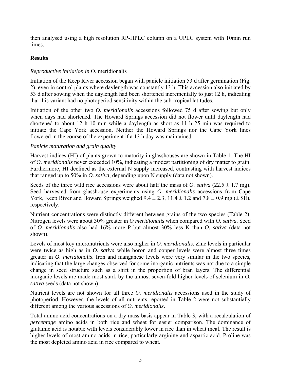then analysed using a high resolution RP-HPLC column on a UPLC system with 10min run times.

# **Results**

# *Reproductive initiation in* O. meridionalis

Initiation of the Keep River accession began with panicle initiation 53 d after germination (Fig. 2), even in control plants where daylength was constantly 13 h. This accession also initiated by 53 d after sowing when the daylength had been shortened incrementally to just 12 h, indicating that this variant had no photoperiod sensitivity within the sub-tropical latitudes.

Initiation of the other two *O. meridionalis* accessions followed 75 d after sowing but only when days had shortened. The Howard Springs accession did not flower until daylength had shortened to about 12 h 10 min while a daylength as short as 11 h 25 min was required to initiate the Cape York accession. Neither the Howard Springs nor the Cape York lines flowered in the course of the experiment if a 13 h day was maintained.

# *Panicle maturation and grain quality*

Harvest indices (HI) of plants grown to maturity in glasshouses are shown in Table 1. The HI of *O. meridionalis* never exceeded 10%, indicating a modest partitioning of dry matter to grain. Furthermore, HI declined as the external N supply increased, contrasting with harvest indices that ranged up to 50% in *O. sativa*, depending upon N supply (data not shown).

Seeds of the three wild rice accessions were about half the mass of *O. sativa* ( $22.5 \pm 1.7$  mg). Seed harvested from glasshouse experiments using *O. meridionalis* accessions from Cape York, Keep River and Howard Springs weighed  $9.4 \pm 2.3$ ,  $11.4 \pm 1.2$  and  $7.8 \pm 0.9$  mg ( $\pm$  SE), respectively.

Nutrient concentrations were distinctly different between grains of the two species (Table 2). Nitrogen levels were about 30% greater in *O meridionalis* when compared with *O. sativa*. Seed of *O. meridionalis* also had 16% more P but almost 30% less K than *O. sativa* (data not shown).

Levels of most key micronutrients were also higher in *O. meridionalis*. Zinc levels in particular were twice as high as in *O. sativa* while boron and copper levels were almost three times greater in *O. meridionalis*. Iron and manganese levels were very similar in the two species, indicating that the large changes observed for some inorganic nutrients was not due to a simple change in seed structure such as a shift in the proportion of bran layers. The differential inorganic levels are made most stark by the almost seven-fold higher levels of selenium in *O. sativa* seeds (data not shown).

Nutrient levels are not shown for all three *O. meridionalis* accessions used in the study of photoperiod. However, the levels of all nutrients reported in Table 2 were not substantially different among the various accessions of *O. meridionalis*.

Total amino acid concentrations on a dry mass basis appear in Table 3, with a recalculation of *percentage* amino acids in both rice and wheat for easier comparison. The dominance of glutamic acid is notable with levels considerably lower in rice than in wheat meal. The result is higher levels of most amino acids in rice, particularly arginine and aspartic acid. Proline was the most depleted amino acid in rice compared to wheat.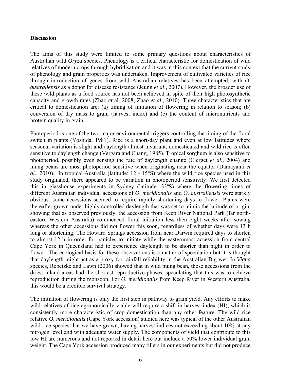#### **Discussion**

The aims of this study were limited to some primary questions about characteristics of Australian wild *Oryza* species. Phenology is a critical characteristic for domestication of wild relatives of modern crops through hybridisation and it was in this context that the current study of phenology and grain properties was undertaken. Improvement of cultivated varieties of rice through introduction of genes from wild Australian relatives has been attempted, with *O. australiensis* as a donor for disease resistance (Jeung *et al*., 2007). However, the broader use of these wild plants as a food source has not been achieved in spite of their high photosynthetic capacity and growth rates (Zhao *et* al. 2008; Zhao *et al*., 2010). Three characteristics that are critical to domestication are: (a) timing of initiation of flowering in relation to season; (b) conversion of dry mass to grain (harvest index) and (c) the content of micronutrients and protein quality in grain.

Photoperiod is one of the two major environmental triggers controlling the timing of the floral switch in plants (Yoshida, 1981). Rice is a short-day plant and even at low latitudes where seasonal variation is slight and daylength almost invariant, domesticated and wild rice is often sensitive to daylength change (Vergara and Chang, 1985). Tropical sorghum is also sensitive to photoperiod, possibly even sensing the rate of daylength change (Clerget *et al*., 2004) and mung beans are most photoperiod sensitive when originating near the equator (Damayanti *et al*., 2010). In tropical Australia (latitude: 12 - 15°S) where the wild rice species used in this study originated, there appeared to be variation in photoperiod sensitivity. We first detected this in glasshouse experiments in Sydney (latitude: 33ºS) where the flowering times of different Australian individual accessions of *O. meridionalis* and *O. australiensis* were starkly obvious: some accessions seemed to require rapidly shortening days to flower. Plants were thereafter grown under highly controlled daylength that was set to mimic the latitude of origin, showing that as observed previously, the accession from Keep River National Park (far northeastern Western Australia) commenced floral initiation less then eight weeks after sowing whereas the other accessions did not flower this soon, regardless of whether days were 13 h long or shortening. The Howard Springs accession from near Darwin required days to shorten to almost 12 h in order for panicles to initiate while the easternmost accession from central Cape York in Queensland had to experience daylength to be shorter than night in order to flower. The ecological basis for these observations is a matter of speculation but it is thought that daylength might act as a proxy for rainfall reliability in the Australian Big wet. In *Vigna* species, Rebetzke and Lawn (2006) showed that in wild mung bean, those accessions from the driest inland areas had the shortest reproductive phases, speculating that this was to achieve reproduction during the monsoon. For *O. meridionalis* from Keep River in Western Australia, this would be a credible survival strategy.

The initiation of flowering is only the first step in pathway to grain yield. Any efforts to make wild relatives of rice agronomically viable will require a shift in harvest index (HI), which is consistently more characteristic of crop domestication than any other feature. The wild rice relative *O. meridionalis* (Cape York accession) studied here was typical of the other Australian wild rice species that we have grown, having harvest indices not exceeding about 10% at any nitrogen level and with adequate water supply. The components of yield that contribute to this low HI are numerous and not reported in detail here but include a 50% lower individual grain weight. The Cape York accession produced many tillers in our experiments but did not produce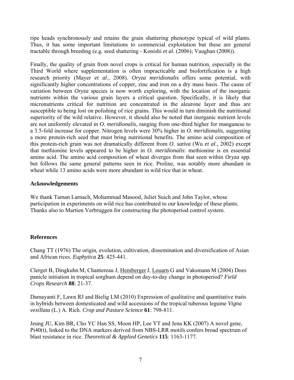ripe heads synchronously and retains the grain shattering phenotype typical of wild plants. Thus, it has some important limitations to commercial exploitation but these are general tractable through breeding (e.g. seed shattering - Konishi *et al*. (2006); Vaughan (2008)).

Finally, the quality of grain from novel crops is critical for human nutrition, especially in the Third World where supplementation is often impracticable and biofortification is a high research priority (Mayer *et al*., 2008). *Oryza meridionalis* offers some potential, with significantly higher concentrations of copper, zinc and iron on a dry mass basis. The cause of variation between *Oryza* species is now worth exploring, with the location of the inorganic nutrients within the various grain layers a critical question. Specifically, it is likely that micronutrients critical for nutrition are concentrated in the aleurone layer and thus are susceptible to being lost on polishing of rice grains. This would in turn diminish the nutritional superiority of the wild relative. However, it should also be noted that inorganic nutrient levels are not uniformly elevated in *O. meridionalis*, ranging from one-third higher for manganese to a 3.5-fold increase for copper. Nitrogen levels were 30% higher in *O. meridionalis*, suggesting a more protein-rich seed that must bring nutritional benefits. The amino acid composition of this protein-rich grain was not dramatically different from *O. sativa* (Wu *et al*., 2002) except that methionine levels appeared to be higher in *O. meridionalis*: methionine is en essential amino acid. The amino acid composition of wheat diverges from that seen within *Oryza* spp. but follows the same general patterns seen in rice. Proline, was notably more abundant in wheat while 13 amino acids were more abundant in wild rice that in wheat.

## **Acknowledgements**

We thank Taman Larnach, Mohammad Masood, Juliet Suich and John Taylor, whose participation in experiments on wild rice has contributed to our knowledge of these plants. Thanks also to Martien Verbruggen for constructing the photoperiod control system.

# **References**

Chang TT (1976) The origin, evolution, cultivation, dissemination and diversification of Asian and African rices. *Euphytica* **25**: 425-441.

Clerget B, Dingkuhn M, Chantereau J, HembergerJ, Louarn G and Vaksmann M (2004) Does panicle initiation in tropical sorghum depend on day-to-day change in photoperiod? *Field Crops Research* **88**: 21-37.

Damayanti F, Lawn RJ and Bielig LM (2010) Expression of qualitative and quantitative traits in hybrids between domesticated and wild accessions of the tropical tuberous legume *Vigna vexillata* (L.) A. Rich. *Crop and Pasture Science* **61**: 798-811.

Jeung JU, Kim BR, Cho YC Han SS, Moon HP, Lee YT and Jena KK (2007) A novel gene, Pi40(t), linked to the DNA markers derived from NBS-LRR motifs confers broad spectrum of blast resistance in rice. *Theoretical & Applied Genetics* **115**: 1163-1177.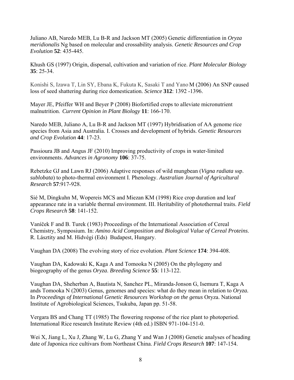Juliano AB, Naredo MEB, Lu B-R and Jackson MT (2005) Genetic differentiation in *Oryza meridionalis* Ng based on molecular and crossability analysis. *Genetic Resources and Crop Evolution* **52**: 435-445.

Khush GS (1997) Origin, dispersal, cultivation and variation of rice. *Plant Molecular Biology*  **35**: 25-34.

Konishi S, Izawa T, Lin SY, Ebana K, Fukuta K, Sasaki T and Yano M (2006) An SNP caused loss of seed shattering during rice domestication. *Science* **312**: 1392 -1396.

Mayer JE, Pfeiffer WH and Beyer P (2008) Biofortified crops to alleviate micronutrient malnutrition. *Current Opinion in Plant Biology* **11**: 166-170.

Naredo MEB, Juliano A, Lu B-R and Jackson MT (1997) Hybridisation of AA genome rice species from Asia and Australia. I. Crosses and development of hybrids. *Genetic Resources and Crop Evolution* **44**: 17-23.

Passioura JB and Angus JF (2010) Improving productivity of crops in water-limited environments. *Advances in Agronomy* **106**: 37-75.

Rebetzke GJ and Lawn RJ (2006) Adaptive responses of wild mungbean (*Vigna radiata* ssp. *sublobata*) to photo-thermal environment I. Phenology. *Australian Journal of Agricultural Research* **57**:917-928.

Sié M, Dingkuhn M, Wopereis MCS and Miezan KM (1998) Rice crop duration and leaf appearance rate in a variable thermal environment. III. Heritability of photothermal traits. *Field Crops Research* **58**: 141-152.

Vaníček F and B. Turek (1983) Proceedings of the International Association of Cereal Chemistry, Symposium. In: *Amino Acid Composition and Biological Value of Cereal Proteins*. R. Lásztity and M. Hidvégi (Eds) Budapest, Hungary.

Vaughan DA (2008) The evolving story of rice evolution. *Plant Science* **174**: 394-408.

Vaughan DA, Kadowaki K, Kaga A and Tomooka N (2005) On the phylogeny and biogeography of the genus *Oryza*. *Breeding Science* **55**: 113-122.

Vaughan DA, Sheherban A, Bautista N, Sanchez PL, Miranda-Jonson G, Isemura T, Kaga A ands Tomooka N (2003) Genus, genomes and species: what do they mean in relation to *Oryza.* In *Proceedings of International Genetic Resources Workshop on the genus* Oryza. National Institute of Agrobiological Sciences, Tsukuba, Japan pp. 51-58.

Vergara BS and Chang TT (1985) The flowering response of the rice plant to photoperiod. International Rice research Institute Review (4th ed.) ISBN 971-104-151-0.

Wei X, Jiang L, Xu J, Zhang W, Lu G, Zhang Y and Wan J (2008) Genetic analyses of heading date of Japonica rice cultivars from Northeast China. *Field Crops Research* **107**: 147-154.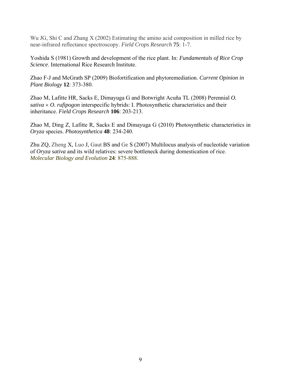Wu JG, Shi C and Zhang X (2002) Estimating the amino acid composition in milled rice by near-infrared reflectance spectroscopy. *Field Crops Research* **75**: 1-7.

Yoshida S (1981) Growth and development of the rice plant. In: *Fundamentals of Rice Crop Science*. International Rice Research Institute.

Zhao F-J and McGrath SP (2009) Biofortification and phytoremediation. *Current Opinion in Plant Biology* **12**: 373-380.

Zhao M, Lafitte HR, Sacks E, Dimayuga G and Botwright Acuña TL (2008) Perennial *O. sativa* × *O. rufipogon* interspecific hybrids: I. Photosynthetic characteristics and their inheritance. *Field Crops Research* **106**: 203-213.

Zhao M, Ding Z, Lafitte R, Sacks E and Dimayuga G (2010) Photosynthetic characteristics in *Oryza* species. *Photosynthetica* **48**: 234-240.

Zhu ZQ, Zheng X, Luo J, Gaut BS and Ge S (2007) Multilocus analysis of nucleotide variation of *Oryza sativa* and its wild relatives: severe bottleneck during domestication of rice. *Molecular Biology and Evolution* **24**: 875-888.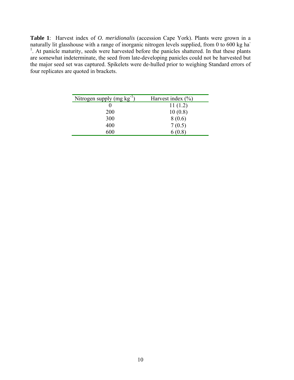**Table 1**: Harvest index of *O. meridionalis* (accession Cape York). Plants were grown in a naturally lit glasshouse with a range of inorganic nitrogen levels supplied, from 0 to 600 kg ha-<sup>1</sup>. At panicle maturity, seeds were harvested before the panicles shattered. In that these plants are somewhat indeterminate, the seed from late-developing panicles could not be harvested but the major seed set was captured. Spikelets were de-hulled prior to weighing Standard errors of four replicates are quoted in brackets.

| Nitrogen supply $(mg kg^{-1})$ | Harvest index $(\% )$ |
|--------------------------------|-----------------------|
|                                | 11(1.2)               |
| 200                            | 10(0.8)               |
| 300                            | 8(0.6)                |
| 400                            | 7(0.5)                |
| 600                            | 6(0.8)                |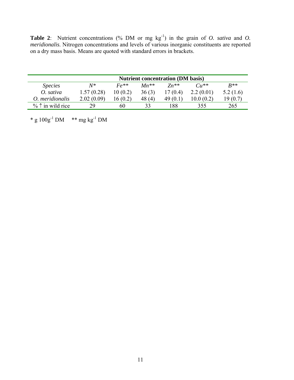**Table 2**: Nutrient concentrations (% DM or mg  $kg^{-1}$ ) in the grain of *O. sativa* and *O. meridionalis*. Nitrogen concentrations and levels of various inorganic constituents are reported on a dry mass basis. Means are quoted with standard errors in brackets.

|                            | <b>Nutrient concentration (DM basis)</b> |               |           |            |           |          |
|----------------------------|------------------------------------------|---------------|-----------|------------|-----------|----------|
| <i>Species</i>             | $N^*$                                    | $F \rho^{**}$ | $Mn^{**}$ | $Z_n$ **   | $Cu**$    | $R^{**}$ |
| O. sativa                  | 1.57(0.28)                               | 10(0.2)       | 36(3)     | 17(0.4)    | 2.2(0.01) | 5.2(1.6) |
| O. meridionalis            | 2.02(0.09)                               | 16(0.2)       | 48(4)     | 49 $(0.1)$ | 10.0(0.2) | 19 (0.7) |
| $\% \uparrow$ in wild rice | 29                                       | 60            | 33        | .88        | 355       | 265      |

\* g  $100g^{-1}$  DM \*\* mg kg<sup>-1</sup> DM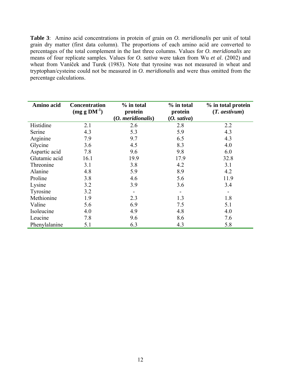**Table 3**: Amino acid concentrations in protein of grain on *O. meridionalis* per unit of total grain dry matter (first data column). The proportions of each amino acid are converted to percentages of the total complement in the last three columns. Values for *O. meridionalis* are means of four replicate samples. Values for *O. sativa* were taken from Wu *et al*. (2002) and wheat from Vaníček and Turek (1983). Note that tyrosine was not measured in wheat and tryptophan/cysteine could not be measured in *O. meridionalis* and were thus omitted from the percentage calculations.

| Amino acid    | <b>Concentration</b><br>$(mg g DM-1)$ | % in total<br>protein<br>$(0.$ meridionalis) | $%$ in total<br>protein<br>(0. sativa) | % in total protein<br>$(T.$ aestivum $)$ |
|---------------|---------------------------------------|----------------------------------------------|----------------------------------------|------------------------------------------|
| Histidine     | 2.1                                   | 2.6                                          | 2.8                                    | 2.2                                      |
| Serine        | 4.3                                   | 5.3                                          | 5.9                                    | 4.3                                      |
| Arginine      | 7.9                                   | 9.7                                          | 6.5                                    | 4.3                                      |
| Glycine       | 3.6                                   | 4.5                                          | 8.3                                    | 4.0                                      |
| Aspartic acid | 7.8                                   | 9.6                                          | 9.8                                    | 6.0                                      |
| Glutamic acid | 16.1                                  | 19.9                                         | 17.9                                   | 32.8                                     |
| Threonine     | 3.1                                   | 3.8                                          | 4.2                                    | 3.1                                      |
| Alanine       | 4.8                                   | 5.9                                          | 8.9                                    | 4.2                                      |
| Proline       | 3.8                                   | 4.6                                          | 5.6                                    | 11.9                                     |
| Lysine        | 3.2                                   | 3.9                                          | 3.6                                    | 3.4                                      |
| Tyrosine      | 3.2                                   |                                              |                                        |                                          |
| Methionine    | 1.9                                   | 2.3                                          | 1.3                                    | 1.8                                      |
| Valine        | 5.6                                   | 6.9                                          | 7.5                                    | 5.1                                      |
| Isoleucine    | 4.0                                   | 4.9                                          | 4.8                                    | 4.0                                      |
| Leucine       | 7.8                                   | 9.6                                          | 8.6                                    | 7.6                                      |
| Phenylalanine | 5.1                                   | 6.3                                          | 4.3                                    | 5.8                                      |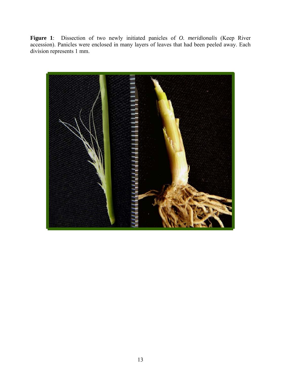**Figure 1**: Dissection of two newly initiated panicles of *O. meridionalis* (Keep River accession). Panicles were enclosed in many layers of leaves that had been peeled away. Each division represents 1 mm.